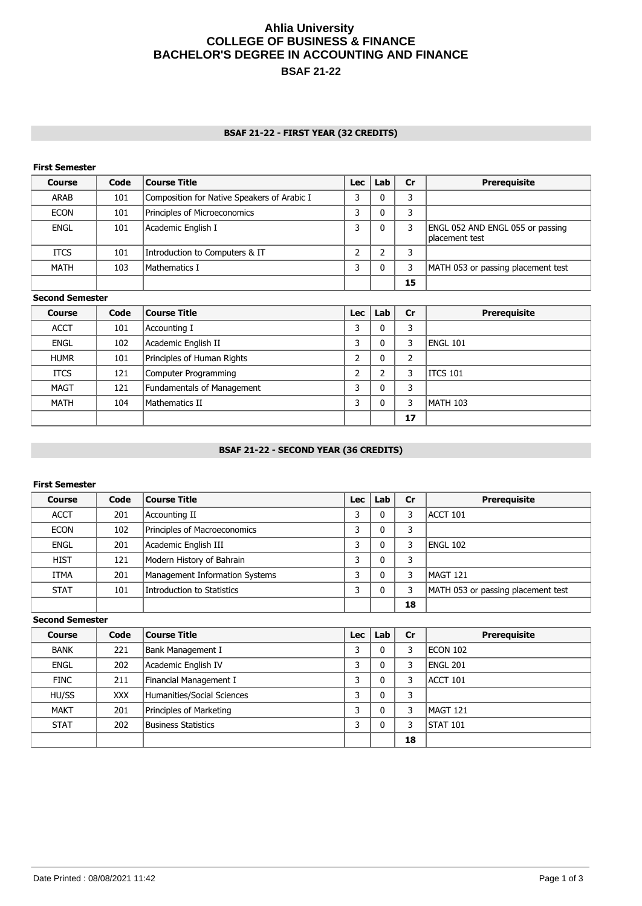# **Ahlia University COLLEGE OF BUSINESS & FINANCE BACHELOR'S DEGREE IN ACCOUNTING AND FINANCE BSAF 21-22**

## **BSAF 21-22 - FIRST YEAR (32 CREDITS)**

## **First Semester**

| <b>Course</b> | Code | Course Title                                | Lec | Lab | Cr | <b>Prerequisite</b>                                |
|---------------|------|---------------------------------------------|-----|-----|----|----------------------------------------------------|
| ARAB          | 101  | Composition for Native Speakers of Arabic I |     |     | 3  |                                                    |
| <b>ECON</b>   | 101  | Principles of Microeconomics                |     |     | 3  |                                                    |
| <b>ENGL</b>   | 101  | Academic English I                          | 3   |     |    | ENGL 052 AND ENGL 055 or passing<br>placement test |
| <b>ITCS</b>   | 101  | Introduction to Computers & IT              |     |     | 3  |                                                    |
| <b>MATH</b>   | 103  | Mathematics I                               |     |     | 3  | MATH 053 or passing placement test                 |
|               |      |                                             |     |     | 15 |                                                    |

### **Second Semester**

| <b>Course</b> | Code | Course Title               | Lec    | Lab | Cr | <b>Prerequisite</b> |
|---------------|------|----------------------------|--------|-----|----|---------------------|
| <b>ACCT</b>   | 101  | Accounting I               | っ<br>a |     | 3  |                     |
| <b>ENGL</b>   | 102  | Academic English II        | 3      |     | 3  | ENGL 101            |
| <b>HUMR</b>   | 101  | Principles of Human Rights | ำ      |     | 2  |                     |
| <b>ITCS</b>   | 121  | Computer Programming       | ำ      |     |    | ITCS 101            |
| <b>MAGT</b>   | 121  | Fundamentals of Management | っ      |     | 3  |                     |
| <b>MATH</b>   | 104  | Mathematics II             | C      |     | 3  | MATH 103            |
|               |      |                            |        |     | 17 |                     |

# **BSAF 21-22 - SECOND YEAR (36 CREDITS)**

## **First Semester**

| Course      | Code | Course Title                   | Lec | Lab | Cr | <b>Prerequisite</b>                |
|-------------|------|--------------------------------|-----|-----|----|------------------------------------|
| <b>ACCT</b> | 201  | Accounting II                  | ົ   |     |    | ACCT 101                           |
| <b>ECON</b> | 102  | Principles of Macroeconomics   |     |     | 3  |                                    |
| <b>ENGL</b> | 201  | Academic English III           | ົ   |     | 3  | ENGL 102                           |
| <b>HIST</b> | 121  | Modern History of Bahrain      |     |     | 3  |                                    |
| <b>ITMA</b> | 201  | Management Information Systems |     |     | 3  | MAGT 121                           |
| <b>STAT</b> | 101  | Introduction to Statistics     | っ   |     | 3  | MATH 053 or passing placement test |
|             |      |                                |     |     | 18 |                                    |

**Second Semester**

| <b>Course</b> | Code       | Course Title               | <b>Lec</b> | Lab | <b>Cr</b> | <b>Prerequisite</b> |
|---------------|------------|----------------------------|------------|-----|-----------|---------------------|
| <b>BANK</b>   | 221        | Bank Management I          | 3          |     | 3         | ECON 102            |
| <b>ENGL</b>   | 202        | Academic English IV        | 3          |     | 3         | ENGL 201            |
| <b>FINC</b>   | 211        | Financial Management I     | 3          |     | 3         | ACCT 101            |
| HU/SS         | <b>XXX</b> | Humanities/Social Sciences | 3          |     | 3         |                     |
| <b>MAKT</b>   | 201        | Principles of Marketing    | 3          |     | 3         | MAGT 121            |
| <b>STAT</b>   | 202        | Business Statistics        | 3          |     | 3         | <b>ISTAT 101</b>    |
|               |            |                            |            |     | 18        |                     |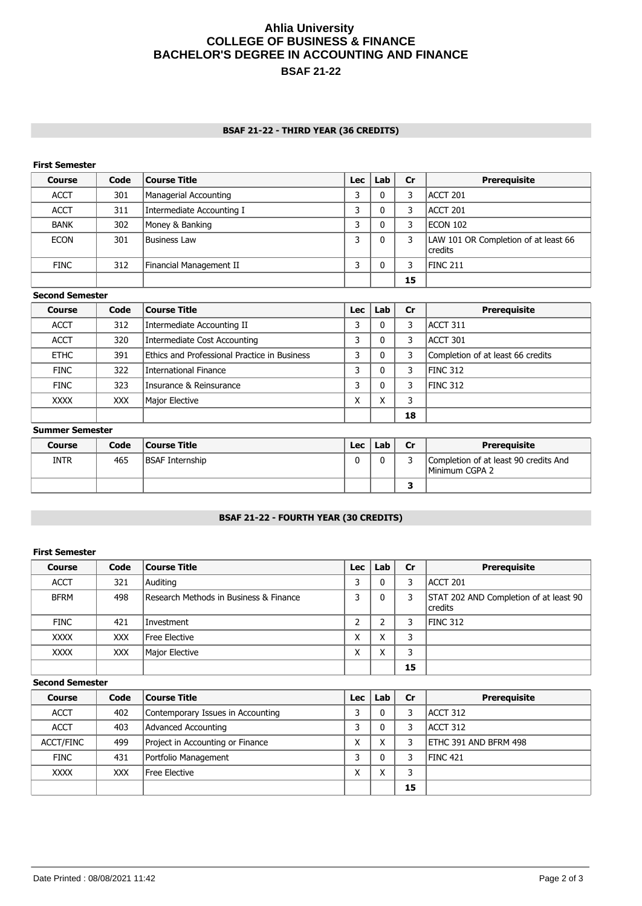# **Ahlia University COLLEGE OF BUSINESS & FINANCE BACHELOR'S DEGREE IN ACCOUNTING AND FINANCE BSAF 21-22**

## **BSAF 21-22 - THIRD YEAR (36 CREDITS)**

## **First Semester**

| <b>Course</b> | Code | <b>Course Title</b>       | Lec    | Lab | Cr | <b>Prerequisite</b>                               |
|---------------|------|---------------------------|--------|-----|----|---------------------------------------------------|
| <b>ACCT</b>   | 301  | Managerial Accounting     |        |     | 3  | ACCT 201                                          |
| <b>ACCT</b>   | 311  | Intermediate Accounting I |        |     | 3  | ACCT 201                                          |
| <b>BANK</b>   | 302  | Money & Banking           | כ<br>a |     | 3  | IECON 102                                         |
| <b>ECON</b>   | 301  | <b>Business Law</b>       | a      |     |    | LAW 101 OR Completion of at least 66<br>l credits |
| <b>FINC</b>   | 312  | Financial Management II   |        |     | 3  | FINC 211                                          |
|               |      |                           |        |     | 15 |                                                   |

#### **Second Semester**

| <b>Course</b> | Code | Course Title                                 | Lec | Lab                    | Cr | <b>Prerequisite</b>               |
|---------------|------|----------------------------------------------|-----|------------------------|----|-----------------------------------|
| <b>ACCT</b>   | 312  | Intermediate Accounting II                   | 3   |                        | 3  | ACCT 311                          |
| <b>ACCT</b>   | 320  | Intermediate Cost Accounting                 | a   |                        | 3  | ACCT 301                          |
| <b>ETHC</b>   | 391  | Ethics and Professional Practice in Business | 3   |                        | 3  | Completion of at least 66 credits |
| <b>FINC</b>   | 322  | International Finance                        |     |                        | 3  | FINC 312                          |
| <b>FINC</b>   | 323  | Insurance & Reinsurance                      | p   |                        | 3  | FINC 312                          |
| <b>XXXX</b>   | XXX. | Major Elective                               | x   | $\checkmark$<br>$\sim$ | 3  |                                   |
|               |      |                                              |     |                        | 18 |                                   |

#### **Summer Semester**

| <b>Course</b> | Code | <b>Course Title</b> | Lec | Lab | Cr | Prereguisite                                            |
|---------------|------|---------------------|-----|-----|----|---------------------------------------------------------|
| <b>INTR</b>   | 465  | BSAF Internship     |     |     |    | Completion of at least 90 credits And<br>Minimum CGPA 2 |
|               |      |                     |     |     |    |                                                         |

# **BSAF 21-22 - FOURTH YEAR (30 CREDITS)**

### **First Semester**

| <b>Course</b> | Code       | <b>Course Title</b>                    | Lec | Lab    | Cr | <b>Prerequisite</b>                                 |
|---------------|------------|----------------------------------------|-----|--------|----|-----------------------------------------------------|
| <b>ACCT</b>   | 321        | Auditing                               | ົ   |        | 3  | ACCT 201                                            |
| <b>BFRM</b>   | 498        | Research Methods in Business & Finance | ົ   | 0      | 3  | STAT 202 AND Completion of at least 90<br>l credits |
| <b>FINC</b>   | 421        | l Investment                           |     |        | 3  | <b>FINC 312</b>                                     |
| <b>XXXX</b>   | <b>XXX</b> | Free Elective                          | Χ   | v<br>∧ | 3  |                                                     |
| <b>XXXX</b>   | <b>XXX</b> | Major Elective                         | X   | v      | 3  |                                                     |
|               |            |                                        |     |        | 15 |                                                     |

## **Second Semester**

| <b>Course</b>    | Code       | Course Title                      | Lec | Lab | cr | <b>Prerequisite</b>           |
|------------------|------------|-----------------------------------|-----|-----|----|-------------------------------|
| <b>ACCT</b>      | 402        | Contemporary Issues in Accounting |     |     | 3  | ACCT 312                      |
| <b>ACCT</b>      | 403        | Advanced Accounting               |     |     | 3  | IACCT 312                     |
| <b>ACCT/FINC</b> | 499        | Project in Accounting or Finance  | ⋏   |     | 3  | <b>IETHC 391 AND BFRM 498</b> |
| <b>FINC</b>      | 431        | Portfolio Management              |     |     |    | <b>IFINC 421</b>              |
| <b>XXXX</b>      | <b>XXX</b> | Free Elective                     |     |     | 3  |                               |
|                  |            |                                   |     |     | 15 |                               |